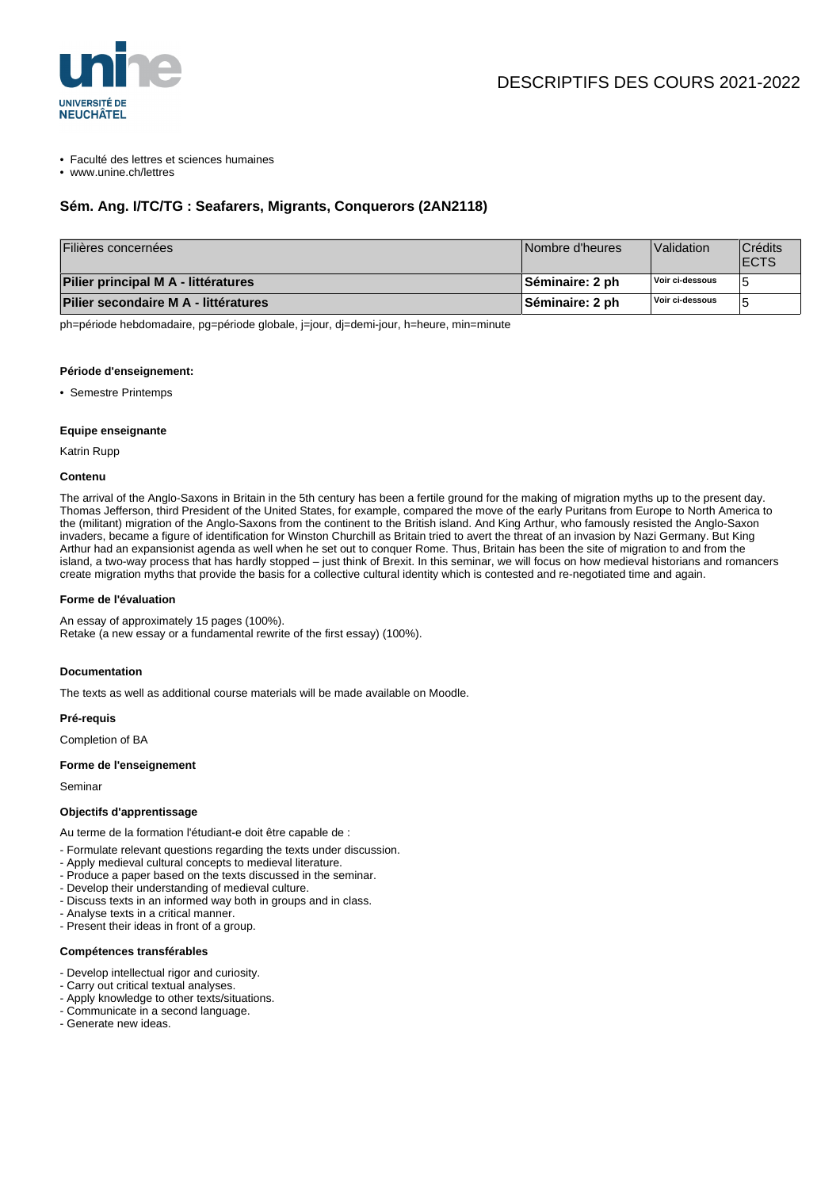

## • Faculté des lettres et sciences humaines

• www.unine.ch/lettres

# **Sém. Ang. I/TC/TG : Seafarers, Migrants, Conquerors (2AN2118)**

| Filières concernées                  | Nombre d'heures        | Validation      | <b>Crédits</b><br><b>IECTS</b> |
|--------------------------------------|------------------------|-----------------|--------------------------------|
| Pilier principal M A - littératures  | <b>Séminaire: 2 ph</b> | Voir ci-dessous |                                |
| Pilier secondaire M A - littératures | <b>Séminaire: 2 ph</b> | Voir ci-dessous |                                |

ph=période hebdomadaire, pg=période globale, j=jour, dj=demi-jour, h=heure, min=minute

#### **Période d'enseignement:**

• Semestre Printemps

## **Equipe enseignante**

Katrin Rupp

### **Contenu**

The arrival of the Anglo-Saxons in Britain in the 5th century has been a fertile ground for the making of migration myths up to the present day. Thomas Jefferson, third President of the United States, for example, compared the move of the early Puritans from Europe to North America to the (militant) migration of the Anglo-Saxons from the continent to the British island. And King Arthur, who famously resisted the Anglo-Saxon invaders, became a figure of identification for Winston Churchill as Britain tried to avert the threat of an invasion by Nazi Germany. But King Arthur had an expansionist agenda as well when he set out to conquer Rome. Thus, Britain has been the site of migration to and from the island, a two-way process that has hardly stopped – just think of Brexit. In this seminar, we will focus on how medieval historians and romancers create migration myths that provide the basis for a collective cultural identity which is contested and re-negotiated time and again.

## **Forme de l'évaluation**

An essay of approximately 15 pages (100%). Retake (a new essay or a fundamental rewrite of the first essay) (100%).

# **Documentation**

The texts as well as additional course materials will be made available on Moodle.

## **Pré-requis**

Completion of BA

## **Forme de l'enseignement**

Seminar

#### **Objectifs d'apprentissage**

Au terme de la formation l'étudiant-e doit être capable de :

- Formulate relevant questions regarding the texts under discussion.
- Apply medieval cultural concepts to medieval literature.
- Produce a paper based on the texts discussed in the seminar.
- Develop their understanding of medieval culture.
- Discuss texts in an informed way both in groups and in class.
- Analyse texts in a critical manner.
- Present their ideas in front of a group.

## **Compétences transférables**

- Develop intellectual rigor and curiosity.
- Carry out critical textual analyses.
- Apply knowledge to other texts/situations.
- Communicate in a second language.
- Generate new ideas.